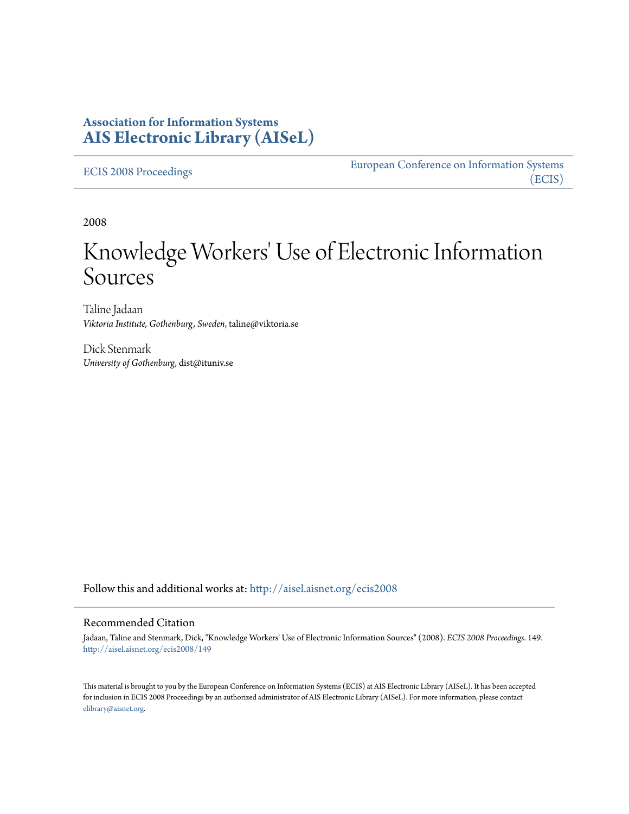### **Association for Information Systems [AIS Electronic Library \(AISeL\)](http://aisel.aisnet.org?utm_source=aisel.aisnet.org%2Fecis2008%2F149&utm_medium=PDF&utm_campaign=PDFCoverPages)**

[ECIS 2008 Proceedings](http://aisel.aisnet.org/ecis2008?utm_source=aisel.aisnet.org%2Fecis2008%2F149&utm_medium=PDF&utm_campaign=PDFCoverPages)

[European Conference on Information Systems](http://aisel.aisnet.org/ecis?utm_source=aisel.aisnet.org%2Fecis2008%2F149&utm_medium=PDF&utm_campaign=PDFCoverPages) [\(ECIS\)](http://aisel.aisnet.org/ecis?utm_source=aisel.aisnet.org%2Fecis2008%2F149&utm_medium=PDF&utm_campaign=PDFCoverPages)

2008

# Knowledge Workers' Use of Electronic Information Sources

Taline Jadaan *Viktoria Institute, Gothenburg, Sweden*, taline@viktoria.se

Dick Stenmark *University of Gothenburg*, dist@ituniv.se

Follow this and additional works at: [http://aisel.aisnet.org/ecis2008](http://aisel.aisnet.org/ecis2008?utm_source=aisel.aisnet.org%2Fecis2008%2F149&utm_medium=PDF&utm_campaign=PDFCoverPages)

#### Recommended Citation

Jadaan, Taline and Stenmark, Dick, "Knowledge Workers' Use of Electronic Information Sources" (2008). *ECIS 2008 Proceedings*. 149. [http://aisel.aisnet.org/ecis2008/149](http://aisel.aisnet.org/ecis2008/149?utm_source=aisel.aisnet.org%2Fecis2008%2F149&utm_medium=PDF&utm_campaign=PDFCoverPages)

This material is brought to you by the European Conference on Information Systems (ECIS) at AIS Electronic Library (AISeL). It has been accepted for inclusion in ECIS 2008 Proceedings by an authorized administrator of AIS Electronic Library (AISeL). For more information, please contact [elibrary@aisnet.org.](mailto:elibrary@aisnet.org%3E)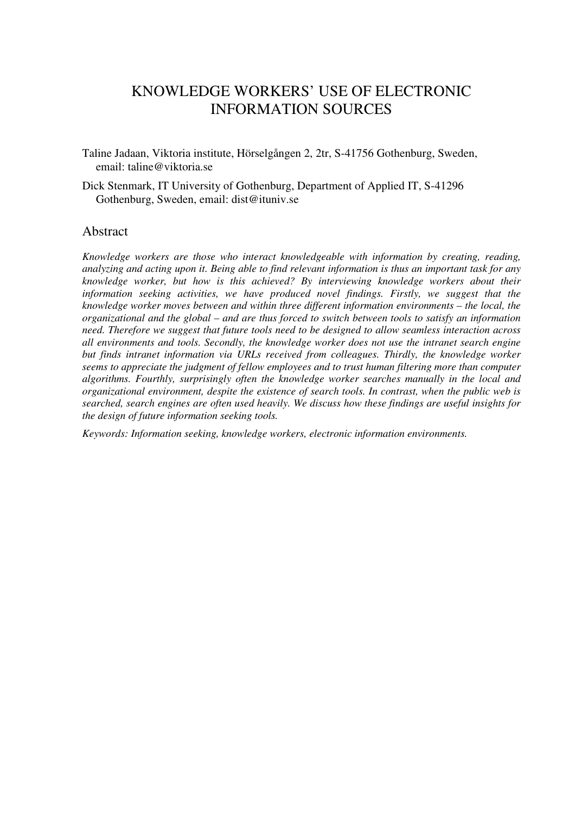# KNOWLEDGE WORKERS' USE OF ELECTRONIC INFORMATION SOURCES

- Taline Jadaan, Viktoria institute, Hörselgången 2, 2tr, S-41756 Gothenburg, Sweden, email: taline@viktoria.se
- Dick Stenmark, IT University of Gothenburg, Department of Applied IT, S-41296 Gothenburg, Sweden, email: dist@ituniv.se

#### Abstract

*Knowledge workers are those who interact knowledgeable with information by creating, reading, analyzing and acting upon it. Being able to find relevant information is thus an important task for any knowledge worker, but how is this achieved? By interviewing knowledge workers about their information seeking activities, we have produced novel findings. Firstly, we suggest that the knowledge worker moves between and within three different information environments – the local, the organizational and the global – and are thus forced to switch between tools to satisfy an information need. Therefore we suggest that future tools need to be designed to allow seamless interaction across all environments and tools. Secondly, the knowledge worker does not use the intranet search engine but finds intranet information via URLs received from colleagues. Thirdly, the knowledge worker seems to appreciate the judgment of fellow employees and to trust human filtering more than computer algorithms. Fourthly, surprisingly often the knowledge worker searches manually in the local and organizational environment, despite the existence of search tools. In contrast, when the public web is searched, search engines are often used heavily. We discuss how these findings are useful insights for the design of future information seeking tools.*

*Keywords: Information seeking, knowledge workers, electronic information environments.*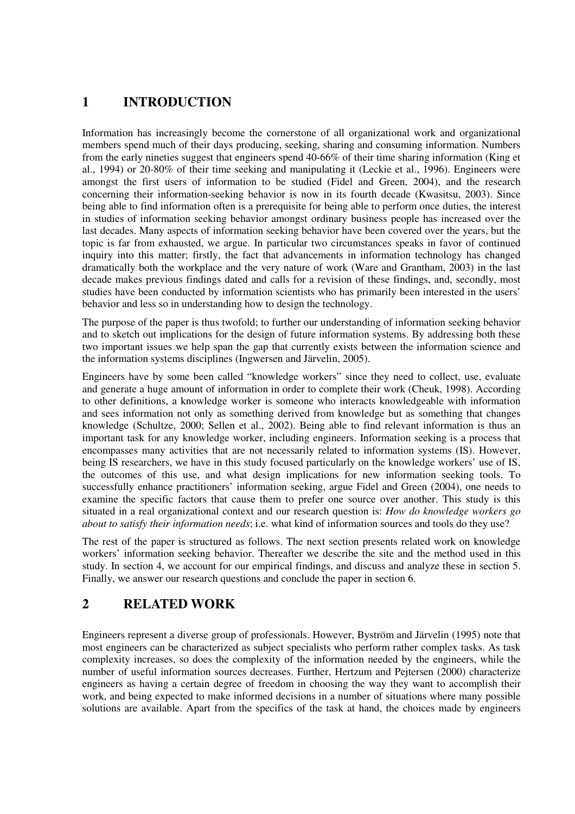# **1 INTRODUCTION**

Information has increasingly become the cornerstone of all organizational work and organizational members spend much of their days producing, seeking, sharing and consuming information. Numbers from the early nineties suggest that engineers spend 40-66% of their time sharing information (King et al., 1994) or 20-80% of their time seeking and manipulating it (Leckie et al., 1996). Engineers were amongst the first users of information to be studied (Fidel and Green, 2004), and the research concerning their information-seeking behavior is now in its fourth decade (Kwasitsu, 2003). Since being able to find information often is a prerequisite for being able to perform once duties, the interest in studies of information seeking behavior amongst ordinary business people has increased over the last decades. Many aspects of information seeking behavior have been covered over the years, but the topic is far from exhausted, we argue. In particular two circumstances speaks in favor of continued inquiry into this matter; firstly, the fact that advancements in information technology has changed dramatically both the workplace and the very nature of work (Ware and Grantham, 2003) in the last decade makes previous findings dated and calls for a revision of these findings, and, secondly, most studies have been conducted by information scientists who has primarily been interested in the users' behavior and less so in understanding how to design the technology.

The purpose of the paper is thus twofold; to further our understanding of information seeking behavior and to sketch out implications for the design of future information systems. By addressing both these two important issues we help span the gap that currently exists between the information science and the information systems disciplines (Ingwersen and Järvelin, 2005).

Engineers have by some been called "knowledge workers" since they need to collect, use, evaluate and generate a huge amount of information in order to complete their work (Cheuk, 1998). According to other definitions, a knowledge worker is someone who interacts knowledgeable with information and sees information not only as something derived from knowledge but as something that changes knowledge (Schultze, 2000; Sellen et al., 2002). Being able to find relevant information is thus an important task for any knowledge worker, including engineers. Information seeking is a process that encompasses many activities that are not necessarily related to information systems (IS). However, being IS researchers, we have in this study focused particularly on the knowledge workers' use of IS, the outcomes of this use, and what design implications for new information seeking tools. To successfully enhance practitioners' information seeking, argue Fidel and Green (2004), one needs to examine the specific factors that cause them to prefer one source over another. This study is this situated in a real organizational context and our research question is: *How do knowledge workers go about to satisfy their information needs*; i.e. what kind of information sources and tools do they use?

The rest of the paper is structured as follows. The next section presents related work on knowledge workers' information seeking behavior. Thereafter we describe the site and the method used in this study. In section 4, we account for our empirical findings, and discuss and analyze these in section 5. Finally, we answer our research questions and conclude the paper in section 6.

# **2 RELATED WORK**

Engineers represent a diverse group of professionals. However, Byström and Järvelin (1995) note that most engineers can be characterized as subject specialists who perform rather complex tasks. As task complexity increases, so does the complexity of the information needed by the engineers, while the number of useful information sources decreases. Further, Hertzum and Pejtersen (2000) characterize engineers as having a certain degree of freedom in choosing the way they want to accomplish their work, and being expected to make informed decisions in a number of situations where many possible solutions are available. Apart from the specifics of the task at hand, the choices made by engineers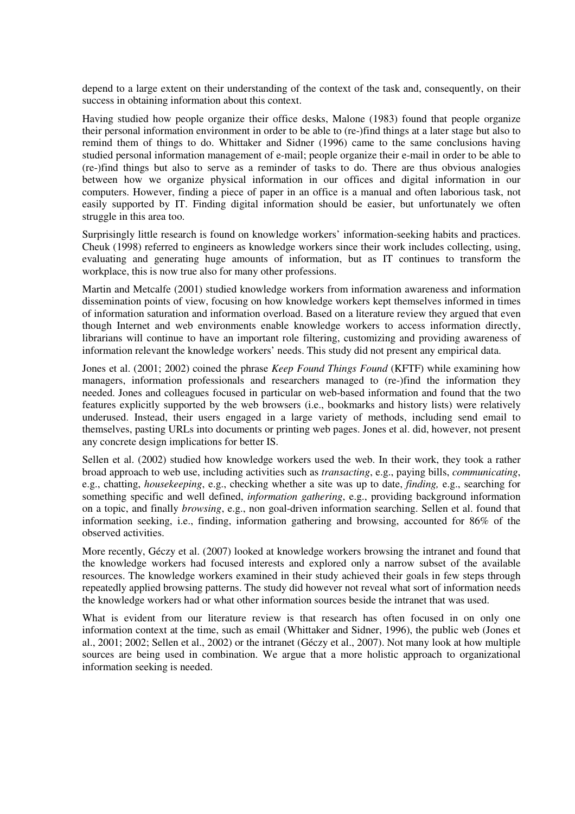depend to a large extent on their understanding of the context of the task and, consequently, on their success in obtaining information about this context.

Having studied how people organize their office desks, Malone (1983) found that people organize their personal information environment in order to be able to (re-)find things at a later stage but also to remind them of things to do. Whittaker and Sidner (1996) came to the same conclusions having studied personal information management of e-mail; people organize their e-mail in order to be able to (re-)find things but also to serve as a reminder of tasks to do. There are thus obvious analogies between how we organize physical information in our offices and digital information in our computers. However, finding a piece of paper in an office is a manual and often laborious task, not easily supported by IT. Finding digital information should be easier, but unfortunately we often struggle in this area too.

Surprisingly little research is found on knowledge workers' information-seeking habits and practices. Cheuk (1998) referred to engineers as knowledge workers since their work includes collecting, using, evaluating and generating huge amounts of information, but as IT continues to transform the workplace, this is now true also for many other professions.

Martin and Metcalfe (2001) studied knowledge workers from information awareness and information dissemination points of view, focusing on how knowledge workers kept themselves informed in times of information saturation and information overload. Based on a literature review they argued that even though Internet and web environments enable knowledge workers to access information directly, librarians will continue to have an important role filtering, customizing and providing awareness of information relevant the knowledge workers' needs. This study did not present any empirical data.

Jones et al. (2001; 2002) coined the phrase *Keep Found Things Found* (KFTF) while examining how managers, information professionals and researchers managed to (re-)find the information they needed. Jones and colleagues focused in particular on web-based information and found that the two features explicitly supported by the web browsers (i.e., bookmarks and history lists) were relatively underused. Instead, their users engaged in a large variety of methods, including send email to themselves, pasting URLs into documents or printing web pages. Jones et al. did, however, not present any concrete design implications for better IS.

Sellen et al. (2002) studied how knowledge workers used the web. In their work, they took a rather broad approach to web use, including activities such as *transacting*, e.g., paying bills, *communicating*, e.g., chatting, *housekeeping*, e.g., checking whether a site was up to date, *finding,* e.g., searching for something specific and well defined, *information gathering*, e.g., providing background information on a topic, and finally *browsing*, e.g., non goal-driven information searching. Sellen et al. found that information seeking, i.e., finding, information gathering and browsing, accounted for 86% of the observed activities.

More recently, Géczy et al. (2007) looked at knowledge workers browsing the intranet and found that the knowledge workers had focused interests and explored only a narrow subset of the available resources. The knowledge workers examined in their study achieved their goals in few steps through repeatedly applied browsing patterns. The study did however not reveal what sort of information needs the knowledge workers had or what other information sources beside the intranet that was used.

What is evident from our literature review is that research has often focused in on only one information context at the time, such as email (Whittaker and Sidner, 1996), the public web (Jones et al., 2001; 2002; Sellen et al., 2002) or the intranet (Géczy et al., 2007). Not many look at how multiple sources are being used in combination. We argue that a more holistic approach to organizational information seeking is needed.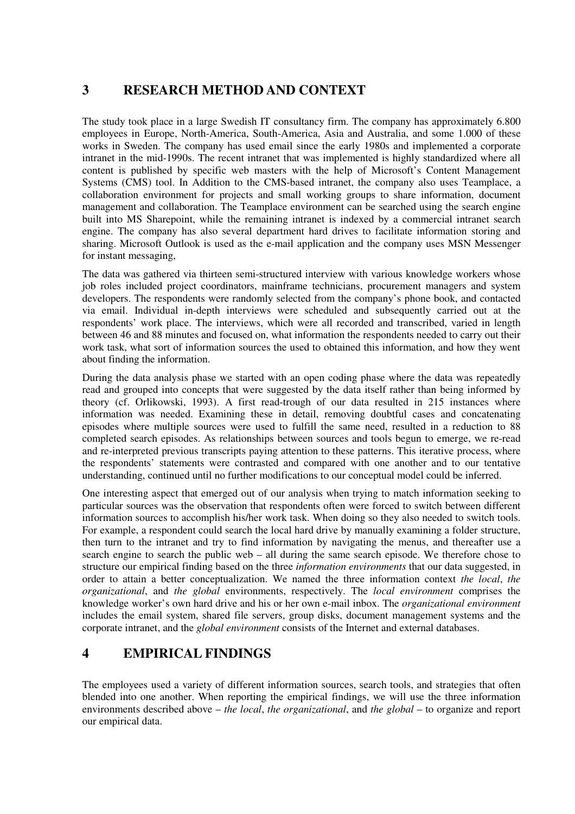# **3 RESEARCH METHOD AND CONTEXT**

The study took place in a large Swedish IT consultancy firm. The company has approximately 6.800 employees in Europe, North-America, South-America, Asia and Australia, and some 1.000 of these works in Sweden. The company has used email since the early 1980s and implemented a corporate intranet in the mid-1990s. The recent intranet that was implemented is highly standardized where all content is published by specific web masters with the help of Microsoft's Content Management Systems (CMS) tool. In Addition to the CMS-based intranet, the company also uses Teamplace, a collaboration environment for projects and small working groups to share information, document management and collaboration. The Teamplace environment can be searched using the search engine built into MS Sharepoint, while the remaining intranet is indexed by a commercial intranet search engine. The company has also several department hard drives to facilitate information storing and sharing. Microsoft Outlook is used as the e-mail application and the company uses MSN Messenger for instant messaging,

The data was gathered via thirteen semi-structured interview with various knowledge workers whose job roles included project coordinators, mainframe technicians, procurement managers and system developers. The respondents were randomly selected from the company's phone book, and contacted via email. Individual in-depth interviews were scheduled and subsequently carried out at the respondents' work place. The interviews, which were all recorded and transcribed, varied in length between 46 and 88 minutes and focused on, what information the respondents needed to carry out their work task, what sort of information sources the used to obtained this information, and how they went about finding the information.

During the data analysis phase we started with an open coding phase where the data was repeatedly read and grouped into concepts that were suggested by the data itself rather than being informed by theory (cf. Orlikowski, 1993). A first read-trough of our data resulted in 215 instances where information was needed. Examining these in detail, removing doubtful cases and concatenating episodes where multiple sources were used to fulfill the same need, resulted in a reduction to 88 completed search episodes. As relationships between sources and tools begun to emerge, we re-read and re-interpreted previous transcripts paying attention to these patterns. This iterative process, where the respondents' statements were contrasted and compared with one another and to our tentative understanding, continued until no further modifications to our conceptual model could be inferred.

One interesting aspect that emerged out of our analysis when trying to match information seeking to particular sources was the observation that respondents often were forced to switch between different information sources to accomplish his/her work task. When doing so they also needed to switch tools. For example, a respondent could search the local hard drive by manually examining a folder structure, then turn to the intranet and try to find information by navigating the menus, and thereafter use a search engine to search the public web – all during the same search episode. We therefore chose to structure our empirical finding based on the three *information environments* that our data suggested, in order to attain a better conceptualization. We named the three information context *the local*, *the organizational*, and *the global* environments, respectively. The *local environment* comprises the knowledge worker's own hard drive and his or her own e-mail inbox. The *organizational environment* includes the email system, shared file servers, group disks, document management systems and the corporate intranet, and the *global environment* consists of the Internet and external databases.

### **4 EMPIRICAL FINDINGS**

The employees used a variety of different information sources, search tools, and strategies that often blended into one another. When reporting the empirical findings, we will use the three information environments described above – *the local*, *the organizational*, and *the global* – to organize and report our empirical data.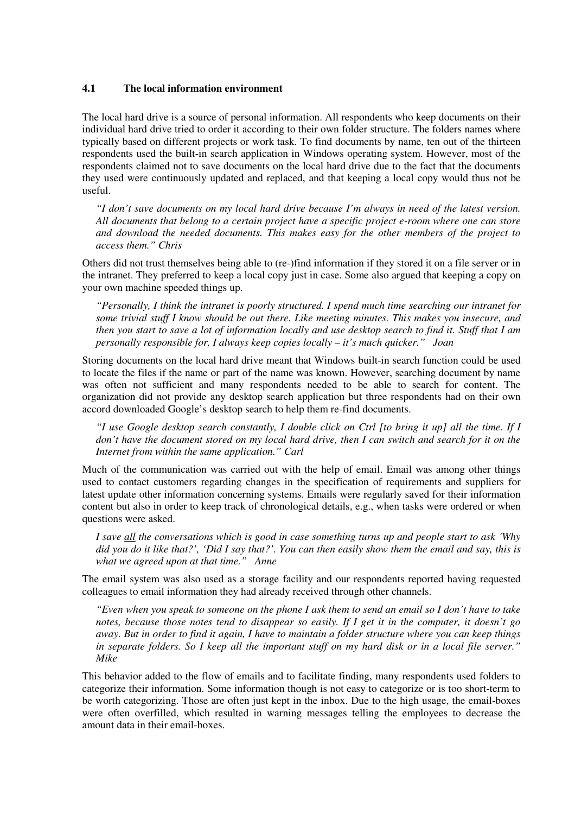#### **4.1 The local information environment**

The local hard drive is a source of personal information. All respondents who keep documents on their individual hard drive tried to order it according to their own folder structure. The folders names where typically based on different projects or work task. To find documents by name, ten out of the thirteen respondents used the built-in search application in Windows operating system. However, most of the respondents claimed not to save documents on the local hard drive due to the fact that the documents they used were continuously updated and replaced, and that keeping a local copy would thus not be useful.

*"I don't save documents on my local hard drive because I'm always in need of the latest version. All documents that belong to a certain project have a specific project e-room where one can store and download the needed documents. This makes easy for the other members of the project to access them." Chris*

Others did not trust themselves being able to (re-)find information if they stored it on a file server or in the intranet. They preferred to keep a local copy just in case. Some also argued that keeping a copy on your own machine speeded things up.

*"Personally, I think the intranet is poorly structured. I spend much time searching our intranet for some trivial stuff I know should be out there. Like meeting minutes. This makes you insecure, and then you start to save a lot of information locally and use desktop search to find it. Stuff that I am personally responsible for, I always keep copies locally – it's much quicker." Joan*

Storing documents on the local hard drive meant that Windows built-in search function could be used to locate the files if the name or part of the name was known. However, searching document by name was often not sufficient and many respondents needed to be able to search for content. The organization did not provide any desktop search application but three respondents had on their own accord downloaded Google's desktop search to help them re-find documents.

*"I use Google desktop search constantly, I double click on Ctrl [to bring it up] all the time. If I don't have the document stored on my local hard drive, then I can switch and search for it on the Internet from within the same application." Carl*

Much of the communication was carried out with the help of email. Email was among other things used to contact customers regarding changes in the specification of requirements and suppliers for latest update other information concerning systems. Emails were regularly saved for their information content but also in order to keep track of chronological details, e.g., when tasks were ordered or when questions were asked.

*I save all the conversations which is good in case something turns up and people start to ask ´Why did you do it like that?', 'Did I say that?'. You can then easily show them the email and say, this is what we agreed upon at that time." Anne* 

The email system was also used as a storage facility and our respondents reported having requested colleagues to email information they had already received through other channels.

*"Even when you speak to someone on the phone I ask them to send an email so I don't have to take notes, because those notes tend to disappear so easily. If I get it in the computer, it doesn't go away. But in order to find it again, I have to maintain a folder structure where you can keep things in separate folders. So I keep all the important stuff on my hard disk or in a local file server." Mike*

This behavior added to the flow of emails and to facilitate finding, many respondents used folders to categorize their information. Some information though is not easy to categorize or is too short-term to be worth categorizing. Those are often just kept in the inbox. Due to the high usage, the email-boxes were often overfilled, which resulted in warning messages telling the employees to decrease the amount data in their email-boxes.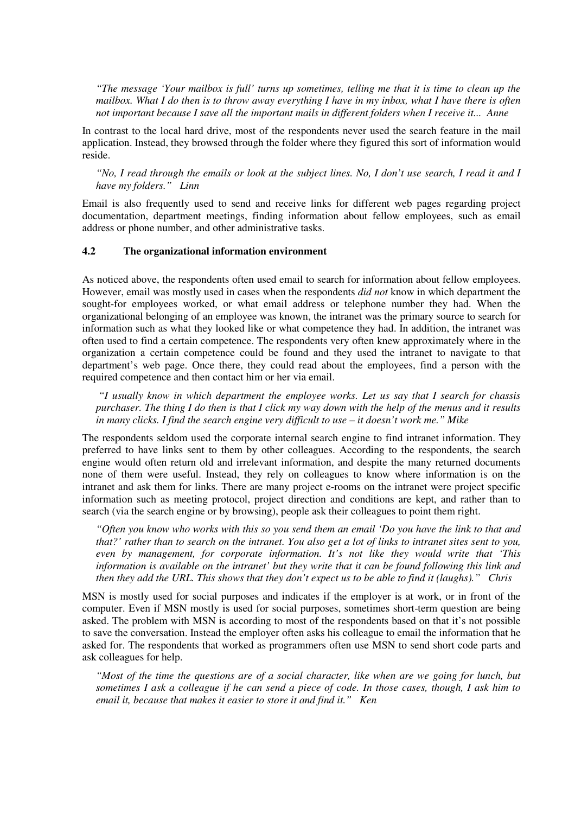*"The message 'Your mailbox is full' turns up sometimes, telling me that it is time to clean up the mailbox. What I do then is to throw away everything I have in my inbox, what I have there is often not important because I save all the important mails in different folders when I receive it... Anne*

In contrast to the local hard drive, most of the respondents never used the search feature in the mail application. Instead, they browsed through the folder where they figured this sort of information would reside.

*"No, I read through the emails or look at the subject lines. No, I don't use search, I read it and I have my folders." Linn*

Email is also frequently used to send and receive links for different web pages regarding project documentation, department meetings, finding information about fellow employees, such as email address or phone number, and other administrative tasks.

#### **4.2 The organizational information environment**

As noticed above, the respondents often used email to search for information about fellow employees. However, email was mostly used in cases when the respondents *did not* know in which department the sought-for employees worked, or what email address or telephone number they had. When the organizational belonging of an employee was known, the intranet was the primary source to search for information such as what they looked like or what competence they had. In addition, the intranet was often used to find a certain competence. The respondents very often knew approximately where in the organization a certain competence could be found and they used the intranet to navigate to that department's web page. Once there, they could read about the employees, find a person with the required competence and then contact him or her via email.

*"I usually know in which department the employee works. Let us say that I search for chassis purchaser. The thing I do then is that I click my way down with the help of the menus and it results in many clicks. I find the search engine very difficult to use – it doesn't work me." Mike*

The respondents seldom used the corporate internal search engine to find intranet information. They preferred to have links sent to them by other colleagues. According to the respondents, the search engine would often return old and irrelevant information, and despite the many returned documents none of them were useful. Instead, they rely on colleagues to know where information is on the intranet and ask them for links. There are many project e-rooms on the intranet were project specific information such as meeting protocol, project direction and conditions are kept, and rather than to search (via the search engine or by browsing), people ask their colleagues to point them right.

*"Often you know who works with this so you send them an email 'Do you have the link to that and that?' rather than to search on the intranet. You also get a lot of links to intranet sites sent to you, even by management, for corporate information. It's not like they would write that 'This information is available on the intranet' but they write that it can be found following this link and then they add the URL. This shows that they don't expect us to be able to find it (laughs)." Chris*

MSN is mostly used for social purposes and indicates if the employer is at work, or in front of the computer. Even if MSN mostly is used for social purposes, sometimes short-term question are being asked. The problem with MSN is according to most of the respondents based on that it's not possible to save the conversation. Instead the employer often asks his colleague to email the information that he asked for. The respondents that worked as programmers often use MSN to send short code parts and ask colleagues for help.

*"Most of the time the questions are of a social character, like when are we going for lunch, but sometimes I ask a colleague if he can send a piece of code. In those cases, though, I ask him to email it, because that makes it easier to store it and find it." Ken*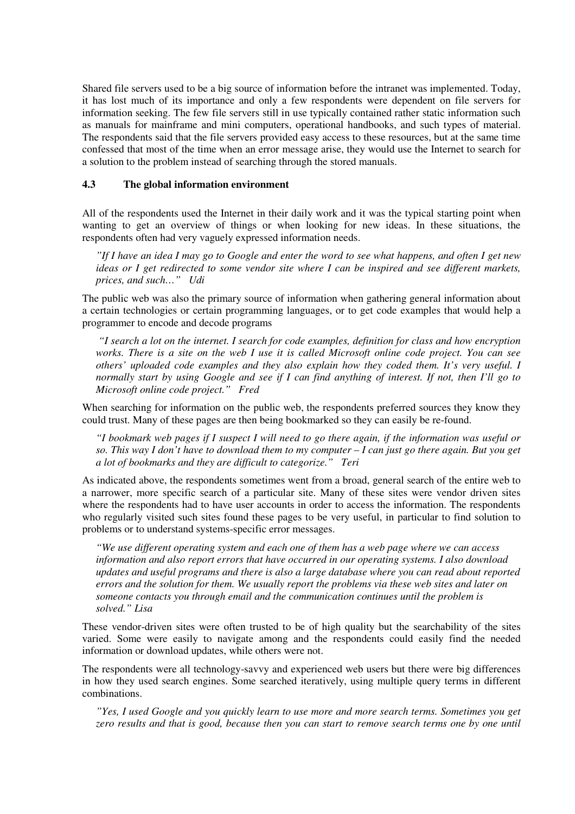Shared file servers used to be a big source of information before the intranet was implemented. Today, it has lost much of its importance and only a few respondents were dependent on file servers for information seeking. The few file servers still in use typically contained rather static information such as manuals for mainframe and mini computers, operational handbooks, and such types of material. The respondents said that the file servers provided easy access to these resources, but at the same time confessed that most of the time when an error message arise, they would use the Internet to search for a solution to the problem instead of searching through the stored manuals.

#### **4.3 The global information environment**

All of the respondents used the Internet in their daily work and it was the typical starting point when wanting to get an overview of things or when looking for new ideas. In these situations, the respondents often had very vaguely expressed information needs.

*"If I have an idea I may go to Google and enter the word to see what happens, and often I get new ideas or I get redirected to some vendor site where I can be inspired and see different markets, prices, and such…" Udi*

The public web was also the primary source of information when gathering general information about a certain technologies or certain programming languages, or to get code examples that would help a programmer to encode and decode programs

*"I search a lot on the internet. I search for code examples, definition for class and how encryption works. There is a site on the web I use it is called Microsoft online code project. You can see others' uploaded code examples and they also explain how they coded them. It's very useful. I normally start by using Google and see if I can find anything of interest. If not, then I'll go to Microsoft online code project." Fred*

When searching for information on the public web, the respondents preferred sources they know they could trust. Many of these pages are then being bookmarked so they can easily be re-found.

*"I bookmark web pages if I suspect I will need to go there again, if the information was useful or so. This way I don't have to download them to my computer – I can just go there again. But you get a lot of bookmarks and they are difficult to categorize." Teri* 

As indicated above, the respondents sometimes went from a broad, general search of the entire web to a narrower, more specific search of a particular site. Many of these sites were vendor driven sites where the respondents had to have user accounts in order to access the information. The respondents who regularly visited such sites found these pages to be very useful, in particular to find solution to problems or to understand systems-specific error messages.

*"We use different operating system and each one of them has a web page where we can access information and also report errors that have occurred in our operating systems. I also download updates and useful programs and there is also a large database where you can read about reported errors and the solution for them. We usually report the problems via these web sites and later on someone contacts you through email and the communication continues until the problem is solved." Lisa*

These vendor-driven sites were often trusted to be of high quality but the searchability of the sites varied. Some were easily to navigate among and the respondents could easily find the needed information or download updates, while others were not.

The respondents were all technology-savvy and experienced web users but there were big differences in how they used search engines. Some searched iteratively, using multiple query terms in different combinations.

*"Yes, I used Google and you quickly learn to use more and more search terms. Sometimes you get zero results and that is good, because then you can start to remove search terms one by one until*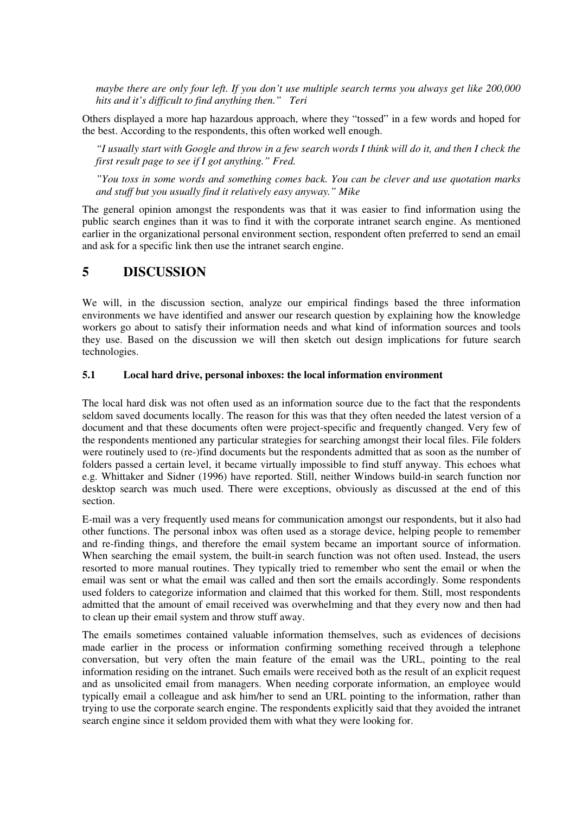*maybe there are only four left. If you don't use multiple search terms you always get like 200,000 hits and it's difficult to find anything then." Teri*

Others displayed a more hap hazardous approach, where they "tossed" in a few words and hoped for the best. According to the respondents, this often worked well enough.

*"I usually start with Google and throw in a few search words I think will do it, and then I check the first result page to see if I got anything." Fred.*

*"You toss in some words and something comes back. You can be clever and use quotation marks and stuff but you usually find it relatively easy anyway." Mike* 

The general opinion amongst the respondents was that it was easier to find information using the public search engines than it was to find it with the corporate intranet search engine. As mentioned earlier in the organizational personal environment section, respondent often preferred to send an email and ask for a specific link then use the intranet search engine.

### **5 DISCUSSION**

We will, in the discussion section, analyze our empirical findings based the three information environments we have identified and answer our research question by explaining how the knowledge workers go about to satisfy their information needs and what kind of information sources and tools they use. Based on the discussion we will then sketch out design implications for future search technologies.

#### **5.1 Local hard drive, personal inboxes: the local information environment**

The local hard disk was not often used as an information source due to the fact that the respondents seldom saved documents locally. The reason for this was that they often needed the latest version of a document and that these documents often were project-specific and frequently changed. Very few of the respondents mentioned any particular strategies for searching amongst their local files. File folders were routinely used to (re-)find documents but the respondents admitted that as soon as the number of folders passed a certain level, it became virtually impossible to find stuff anyway. This echoes what e.g. Whittaker and Sidner (1996) have reported. Still, neither Windows build-in search function nor desktop search was much used. There were exceptions, obviously as discussed at the end of this section.

E-mail was a very frequently used means for communication amongst our respondents, but it also had other functions. The personal inbox was often used as a storage device, helping people to remember and re-finding things, and therefore the email system became an important source of information. When searching the email system, the built-in search function was not often used. Instead, the users resorted to more manual routines. They typically tried to remember who sent the email or when the email was sent or what the email was called and then sort the emails accordingly. Some respondents used folders to categorize information and claimed that this worked for them. Still, most respondents admitted that the amount of email received was overwhelming and that they every now and then had to clean up their email system and throw stuff away.

The emails sometimes contained valuable information themselves, such as evidences of decisions made earlier in the process or information confirming something received through a telephone conversation, but very often the main feature of the email was the URL, pointing to the real information residing on the intranet. Such emails were received both as the result of an explicit request and as unsolicited email from managers. When needing corporate information, an employee would typically email a colleague and ask him/her to send an URL pointing to the information, rather than trying to use the corporate search engine. The respondents explicitly said that they avoided the intranet search engine since it seldom provided them with what they were looking for.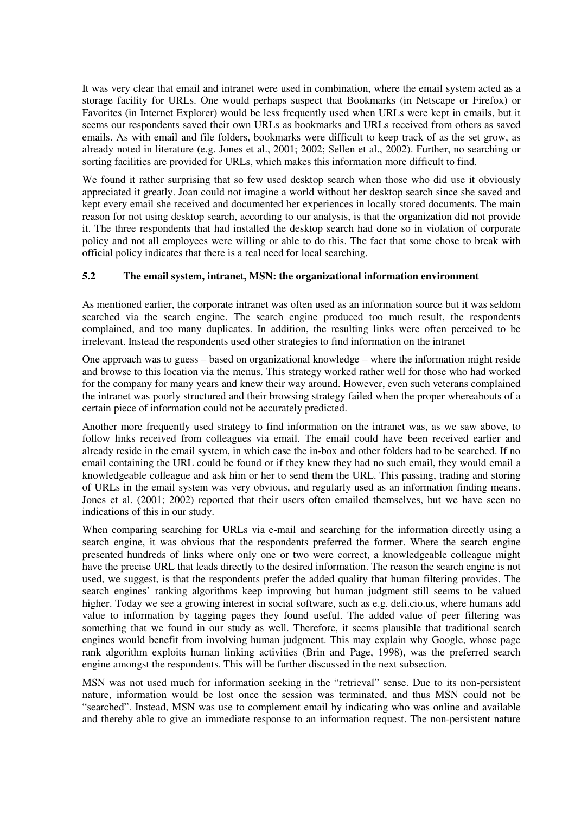It was very clear that email and intranet were used in combination, where the email system acted as a storage facility for URLs. One would perhaps suspect that Bookmarks (in Netscape or Firefox) or Favorites (in Internet Explorer) would be less frequently used when URLs were kept in emails, but it seems our respondents saved their own URLs as bookmarks and URLs received from others as saved emails. As with email and file folders, bookmarks were difficult to keep track of as the set grow, as already noted in literature (e.g. Jones et al., 2001; 2002; Sellen et al., 2002). Further, no searching or sorting facilities are provided for URLs, which makes this information more difficult to find.

We found it rather surprising that so few used desktop search when those who did use it obviously appreciated it greatly. Joan could not imagine a world without her desktop search since she saved and kept every email she received and documented her experiences in locally stored documents. The main reason for not using desktop search, according to our analysis, is that the organization did not provide it. The three respondents that had installed the desktop search had done so in violation of corporate policy and not all employees were willing or able to do this. The fact that some chose to break with official policy indicates that there is a real need for local searching.

#### **5.2 The email system, intranet, MSN: the organizational information environment**

As mentioned earlier, the corporate intranet was often used as an information source but it was seldom searched via the search engine. The search engine produced too much result, the respondents complained, and too many duplicates. In addition, the resulting links were often perceived to be irrelevant. Instead the respondents used other strategies to find information on the intranet

One approach was to guess – based on organizational knowledge – where the information might reside and browse to this location via the menus. This strategy worked rather well for those who had worked for the company for many years and knew their way around. However, even such veterans complained the intranet was poorly structured and their browsing strategy failed when the proper whereabouts of a certain piece of information could not be accurately predicted.

Another more frequently used strategy to find information on the intranet was, as we saw above, to follow links received from colleagues via email. The email could have been received earlier and already reside in the email system, in which case the in-box and other folders had to be searched. If no email containing the URL could be found or if they knew they had no such email, they would email a knowledgeable colleague and ask him or her to send them the URL. This passing, trading and storing of URLs in the email system was very obvious, and regularly used as an information finding means. Jones et al. (2001; 2002) reported that their users often emailed themselves, but we have seen no indications of this in our study.

When comparing searching for URLs via e-mail and searching for the information directly using a search engine, it was obvious that the respondents preferred the former. Where the search engine presented hundreds of links where only one or two were correct, a knowledgeable colleague might have the precise URL that leads directly to the desired information. The reason the search engine is not used, we suggest, is that the respondents prefer the added quality that human filtering provides. The search engines' ranking algorithms keep improving but human judgment still seems to be valued higher. Today we see a growing interest in social software, such as e.g. deli.cio.us, where humans add value to information by tagging pages they found useful. The added value of peer filtering was something that we found in our study as well. Therefore, it seems plausible that traditional search engines would benefit from involving human judgment. This may explain why Google, whose page rank algorithm exploits human linking activities (Brin and Page, 1998), was the preferred search engine amongst the respondents. This will be further discussed in the next subsection.

MSN was not used much for information seeking in the "retrieval" sense. Due to its non-persistent nature, information would be lost once the session was terminated, and thus MSN could not be "searched". Instead, MSN was use to complement email by indicating who was online and available and thereby able to give an immediate response to an information request. The non-persistent nature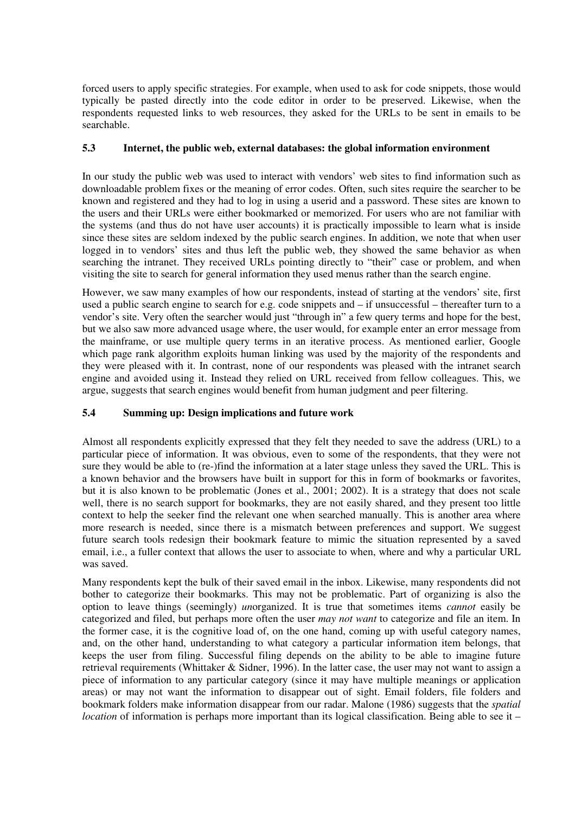forced users to apply specific strategies. For example, when used to ask for code snippets, those would typically be pasted directly into the code editor in order to be preserved. Likewise, when the respondents requested links to web resources, they asked for the URLs to be sent in emails to be searchable.

#### **5.3 Internet, the public web, external databases: the global information environment**

In our study the public web was used to interact with vendors' web sites to find information such as downloadable problem fixes or the meaning of error codes. Often, such sites require the searcher to be known and registered and they had to log in using a userid and a password. These sites are known to the users and their URLs were either bookmarked or memorized. For users who are not familiar with the systems (and thus do not have user accounts) it is practically impossible to learn what is inside since these sites are seldom indexed by the public search engines. In addition, we note that when user logged in to vendors' sites and thus left the public web, they showed the same behavior as when searching the intranet. They received URLs pointing directly to "their" case or problem, and when visiting the site to search for general information they used menus rather than the search engine.

However, we saw many examples of how our respondents, instead of starting at the vendors' site, first used a public search engine to search for e.g. code snippets and – if unsuccessful – thereafter turn to a vendor's site. Very often the searcher would just "through in" a few query terms and hope for the best, but we also saw more advanced usage where, the user would, for example enter an error message from the mainframe, or use multiple query terms in an iterative process. As mentioned earlier, Google which page rank algorithm exploits human linking was used by the majority of the respondents and they were pleased with it. In contrast, none of our respondents was pleased with the intranet search engine and avoided using it. Instead they relied on URL received from fellow colleagues. This, we argue, suggests that search engines would benefit from human judgment and peer filtering.

#### **5.4 Summing up: Design implications and future work**

Almost all respondents explicitly expressed that they felt they needed to save the address (URL) to a particular piece of information. It was obvious, even to some of the respondents, that they were not sure they would be able to (re-)find the information at a later stage unless they saved the URL. This is a known behavior and the browsers have built in support for this in form of bookmarks or favorites, but it is also known to be problematic (Jones et al., 2001; 2002). It is a strategy that does not scale well, there is no search support for bookmarks, they are not easily shared, and they present too little context to help the seeker find the relevant one when searched manually. This is another area where more research is needed, since there is a mismatch between preferences and support. We suggest future search tools redesign their bookmark feature to mimic the situation represented by a saved email, i.e., a fuller context that allows the user to associate to when, where and why a particular URL was saved.

Many respondents kept the bulk of their saved email in the inbox. Likewise, many respondents did not bother to categorize their bookmarks. This may not be problematic. Part of organizing is also the option to leave things (seemingly) *un*organized. It is true that sometimes items *cannot* easily be categorized and filed, but perhaps more often the user *may not want* to categorize and file an item. In the former case, it is the cognitive load of, on the one hand, coming up with useful category names, and, on the other hand, understanding to what category a particular information item belongs, that keeps the user from filing. Successful filing depends on the ability to be able to imagine future retrieval requirements (Whittaker & Sidner, 1996). In the latter case, the user may not want to assign a piece of information to any particular category (since it may have multiple meanings or application areas) or may not want the information to disappear out of sight. Email folders, file folders and bookmark folders make information disappear from our radar. Malone (1986) suggests that the *spatial location* of information is perhaps more important than its logical classification. Being able to see it –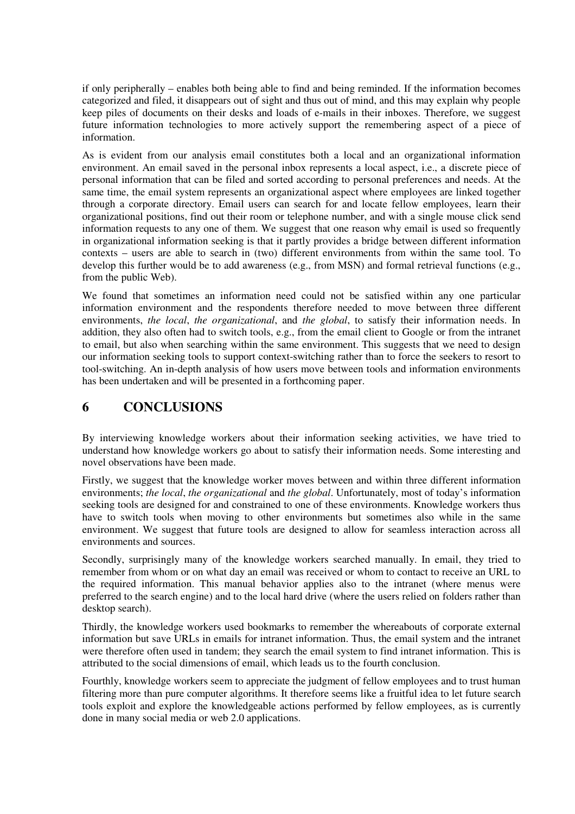if only peripherally – enables both being able to find and being reminded. If the information becomes categorized and filed, it disappears out of sight and thus out of mind, and this may explain why people keep piles of documents on their desks and loads of e-mails in their inboxes. Therefore, we suggest future information technologies to more actively support the remembering aspect of a piece of information.

As is evident from our analysis email constitutes both a local and an organizational information environment. An email saved in the personal inbox represents a local aspect, i.e., a discrete piece of personal information that can be filed and sorted according to personal preferences and needs. At the same time, the email system represents an organizational aspect where employees are linked together through a corporate directory. Email users can search for and locate fellow employees, learn their organizational positions, find out their room or telephone number, and with a single mouse click send information requests to any one of them. We suggest that one reason why email is used so frequently in organizational information seeking is that it partly provides a bridge between different information contexts – users are able to search in (two) different environments from within the same tool. To develop this further would be to add awareness (e.g., from MSN) and formal retrieval functions (e.g., from the public Web).

We found that sometimes an information need could not be satisfied within any one particular information environment and the respondents therefore needed to move between three different environments, *the local*, *the organizational*, and *the global*, to satisfy their information needs. In addition, they also often had to switch tools, e.g., from the email client to Google or from the intranet to email, but also when searching within the same environment. This suggests that we need to design our information seeking tools to support context-switching rather than to force the seekers to resort to tool-switching. An in-depth analysis of how users move between tools and information environments has been undertaken and will be presented in a forthcoming paper.

# **6 CONCLUSIONS**

By interviewing knowledge workers about their information seeking activities, we have tried to understand how knowledge workers go about to satisfy their information needs. Some interesting and novel observations have been made.

Firstly, we suggest that the knowledge worker moves between and within three different information environments; *the local*, *the organizational* and *the global*. Unfortunately, most of today's information seeking tools are designed for and constrained to one of these environments. Knowledge workers thus have to switch tools when moving to other environments but sometimes also while in the same environment. We suggest that future tools are designed to allow for seamless interaction across all environments and sources.

Secondly, surprisingly many of the knowledge workers searched manually. In email, they tried to remember from whom or on what day an email was received or whom to contact to receive an URL to the required information. This manual behavior applies also to the intranet (where menus were preferred to the search engine) and to the local hard drive (where the users relied on folders rather than desktop search).

Thirdly, the knowledge workers used bookmarks to remember the whereabouts of corporate external information but save URLs in emails for intranet information. Thus, the email system and the intranet were therefore often used in tandem; they search the email system to find intranet information. This is attributed to the social dimensions of email, which leads us to the fourth conclusion.

Fourthly, knowledge workers seem to appreciate the judgment of fellow employees and to trust human filtering more than pure computer algorithms. It therefore seems like a fruitful idea to let future search tools exploit and explore the knowledgeable actions performed by fellow employees, as is currently done in many social media or web 2.0 applications.